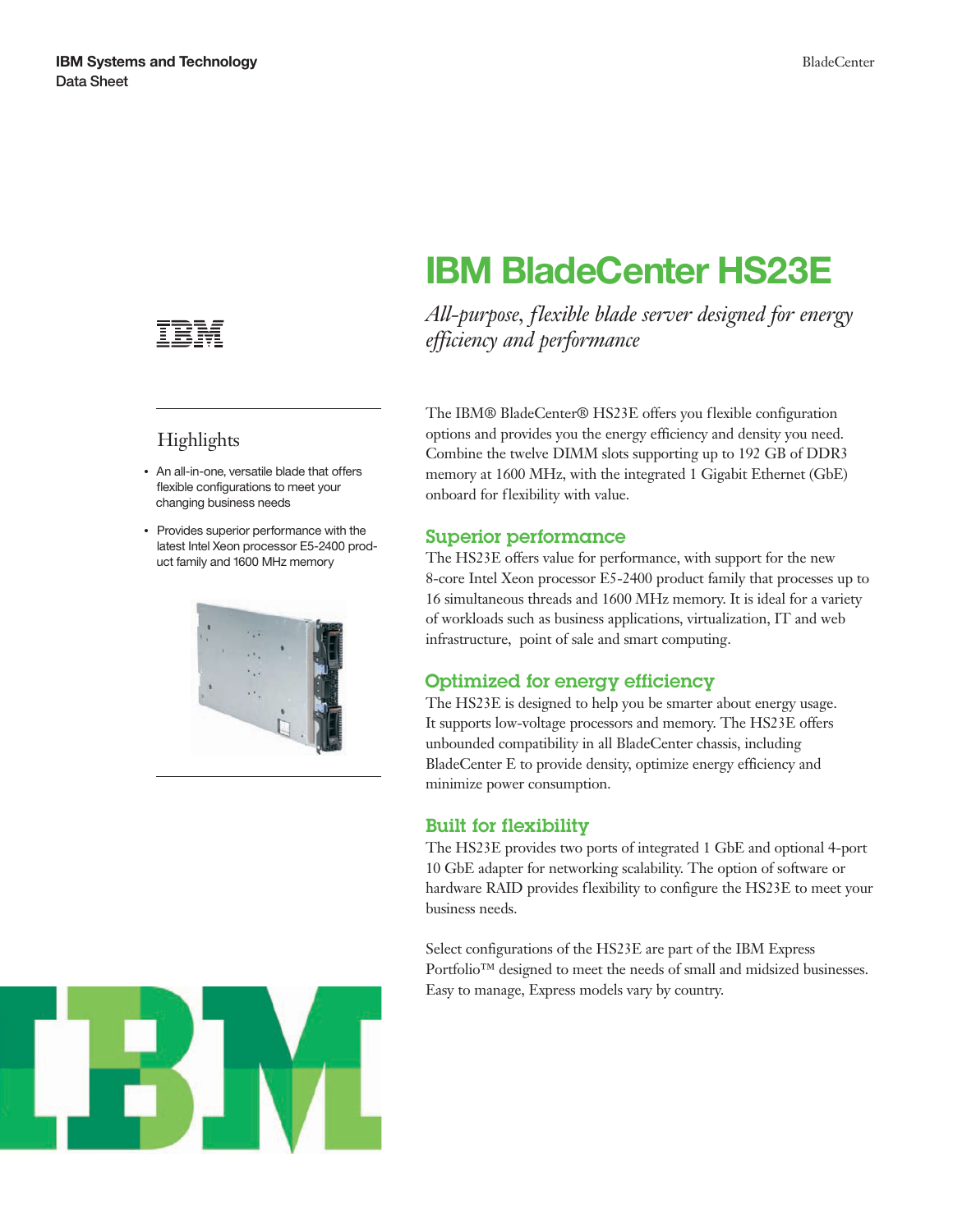

## Highlights

- An all-in-one, versatile blade that offers flexible configurations to meet your changing business needs
- Provides superior performance with the latest Intel Xeon processor E5-2400 product family and 1600 MHz memory



# **IBM BladeCenter HS23E**

*All-purpose, flexible blade server designed for energy efficiency and performance*

The IBM® BladeCenter® HS23E offers you flexible configuration options and provides you the energy efficiency and density you need. Combine the twelve DIMM slots supporting up to 192 GB of DDR3 memory at 1600 MHz, with the integrated 1 Gigabit Ethernet (GbE) onboard for flexibility with value.

### Superior performance

The HS23E offers value for performance, with support for the new 8-core Intel Xeon processor E5-2400 product family that processes up to 16 simultaneous threads and 1600 MHz memory. It is ideal for a variety of workloads such as business applications, virtualization, IT and web infrastructure, point of sale and smart computing.

### Optimized for energy efficiency

The HS23E is designed to help you be smarter about energy usage. It supports low-voltage processors and memory. The HS23E offers unbounded compatibility in all BladeCenter chassis, including BladeCenter E to provide density, optimize energy efficiency and minimize power consumption.

### Built for flexibility

The HS23E provides two ports of integrated 1 GbE and optional 4-port 10 GbE adapter for networking scalability. The option of software or hardware RAID provides flexibility to configure the HS23E to meet your business needs.

Select configurations of the HS23E are part of the IBM Express Portfolio™ designed to meet the needs of small and midsized businesses. Easy to manage, Express models vary by country.